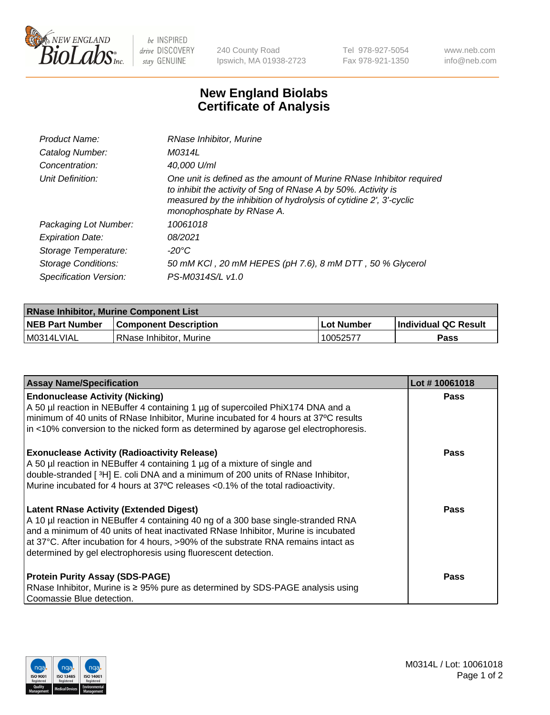

 $be$  INSPIRED drive DISCOVERY stay GENUINE

240 County Road Ipswich, MA 01938-2723 Tel 978-927-5054 Fax 978-921-1350 www.neb.com info@neb.com

## **New England Biolabs Certificate of Analysis**

| Product Name:           | RNase Inhibitor, Murine                                                                                                                                                                                                                  |
|-------------------------|------------------------------------------------------------------------------------------------------------------------------------------------------------------------------------------------------------------------------------------|
| Catalog Number:         | M0314L                                                                                                                                                                                                                                   |
| Concentration:          | 40,000 U/ml                                                                                                                                                                                                                              |
| Unit Definition:        | One unit is defined as the amount of Murine RNase Inhibitor required<br>to inhibit the activity of 5ng of RNase A by 50%. Activity is<br>measured by the inhibition of hydrolysis of cytidine 2', 3'-cyclic<br>monophosphate by RNase A. |
| Packaging Lot Number:   | 10061018                                                                                                                                                                                                                                 |
| <b>Expiration Date:</b> | 08/2021                                                                                                                                                                                                                                  |
| Storage Temperature:    | -20°C                                                                                                                                                                                                                                    |
| Storage Conditions:     | 50 mM KCI, 20 mM HEPES (pH 7.6), 8 mM DTT, 50 % Glycerol                                                                                                                                                                                 |
| Specification Version:  | PS-M0314S/L v1.0                                                                                                                                                                                                                         |

| <b>RNase Inhibitor, Murine Component List</b> |                              |            |                             |  |
|-----------------------------------------------|------------------------------|------------|-----------------------------|--|
| <b>NEB Part Number</b>                        | <b>Component Description</b> | Lot Number | <b>Individual QC Result</b> |  |
| M0314LVIAL                                    | RNase Inhibitor, Murine      | 10052577   | <b>Pass</b>                 |  |

| <b>Assay Name/Specification</b>                                                                                                                                                                                                                                                                                                                                                   | Lot #10061018 |
|-----------------------------------------------------------------------------------------------------------------------------------------------------------------------------------------------------------------------------------------------------------------------------------------------------------------------------------------------------------------------------------|---------------|
| <b>Endonuclease Activity (Nicking)</b><br>A 50 µl reaction in NEBuffer 4 containing 1 µg of supercoiled PhiX174 DNA and a<br>minimum of 40 units of RNase Inhibitor, Murine incubated for 4 hours at 37°C results                                                                                                                                                                 | Pass          |
| in <10% conversion to the nicked form as determined by agarose gel electrophoresis.                                                                                                                                                                                                                                                                                               |               |
| <b>Exonuclease Activity (Radioactivity Release)</b><br>A 50 µl reaction in NEBuffer 4 containing 1 µg of a mixture of single and<br>double-stranded [3H] E. coli DNA and a minimum of 200 units of RNase Inhibitor,<br>Murine incubated for 4 hours at 37°C releases <0.1% of the total radioactivity.                                                                            | <b>Pass</b>   |
| <b>Latent RNase Activity (Extended Digest)</b><br>A 10 µl reaction in NEBuffer 4 containing 40 ng of a 300 base single-stranded RNA<br>and a minimum of 40 units of heat inactivated RNase Inhibitor, Murine is incubated<br>at 37°C. After incubation for 4 hours, >90% of the substrate RNA remains intact as<br>determined by gel electrophoresis using fluorescent detection. | Pass          |
| <b>Protein Purity Assay (SDS-PAGE)</b><br>RNase Inhibitor, Murine is ≥ 95% pure as determined by SDS-PAGE analysis using<br>Coomassie Blue detection.                                                                                                                                                                                                                             | <b>Pass</b>   |